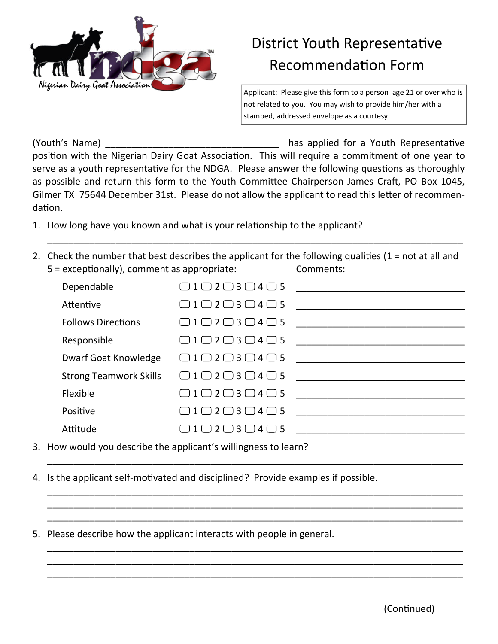

## District Youth Representative Recommendation Form

Applicant: Please give this form to a person age 21 or over who is not related to you. You may wish to provide him/her with a stamped, addressed envelope as a courtesy.

(Youth's Name) (Youth's Name) and the state of the state of the state of the state of the state in the state of the state of the state of the state of the state of the state of the state of the state of the state of the st position with the Nigerian Dairy Goat Association. This will require a commitment of one year to serve as a youth representative for the NDGA. Please answer the following questions as thoroughly as possible and return this form to the Youth Committee Chairperson James Craft, PO Box 1045, Gilmer TX 75644 December 31st. Please do not allow the applicant to read this letter of recommendation.

- 1. How long have you known and what is your relationship to the applicant?
- 2. Check the number that best describes the applicant for the following qualities (1 = not at all and 5 = exceptionally), comment as appropriate: Comments:

\_\_\_\_\_\_\_\_\_\_\_\_\_\_\_\_\_\_\_\_\_\_\_\_\_\_\_\_\_\_\_\_\_\_\_\_\_\_\_\_\_\_\_\_\_\_\_\_\_\_\_\_\_\_\_\_\_\_\_\_\_\_\_\_\_\_\_\_\_\_\_\_\_\_\_\_\_\_\_

| Dependable                    | $\Box$ 1 $\Box$ 2 $\Box$ 3 $\Box$ 4 $\Box$ 5 |  |
|-------------------------------|----------------------------------------------|--|
| Attentive                     | $\Box$ 1 $\Box$ 2 $\Box$ 3 $\Box$ 4 $\Box$ 5 |  |
| <b>Follows Directions</b>     | $\Box$ 1 $\Box$ 2 $\Box$ 3 $\Box$ 4 $\Box$ 5 |  |
| Responsible                   | $\Box$ 1 $\Box$ 2 $\Box$ 3 $\Box$ 4 $\Box$ 5 |  |
| <b>Dwarf Goat Knowledge</b>   | $\Box$ 1 $\Box$ 2 $\Box$ 3 $\Box$ 4 $\Box$ 5 |  |
| <b>Strong Teamwork Skills</b> | $\Box$ 1 $\Box$ 2 $\Box$ 3 $\Box$ 4 $\Box$ 5 |  |
| Flexible                      | $\Box$ 1 $\Box$ 2 $\Box$ 3 $\Box$ 4 $\Box$ 5 |  |
| Positive                      | $\Box$ 1 $\Box$ 2 $\Box$ 3 $\Box$ 4 $\Box$ 5 |  |
| Attitude                      | $12 \square 3 \square 4 \square 5$           |  |

\_\_\_\_\_\_\_\_\_\_\_\_\_\_\_\_\_\_\_\_\_\_\_\_\_\_\_\_\_\_\_\_\_\_\_\_\_\_\_\_\_\_\_\_\_\_\_\_\_\_\_\_\_\_\_\_\_\_\_\_\_\_\_\_\_\_\_\_\_\_\_\_\_\_\_\_\_\_\_

\_\_\_\_\_\_\_\_\_\_\_\_\_\_\_\_\_\_\_\_\_\_\_\_\_\_\_\_\_\_\_\_\_\_\_\_\_\_\_\_\_\_\_\_\_\_\_\_\_\_\_\_\_\_\_\_\_\_\_\_\_\_\_\_\_\_\_\_\_\_\_\_\_\_\_\_\_\_\_ \_\_\_\_\_\_\_\_\_\_\_\_\_\_\_\_\_\_\_\_\_\_\_\_\_\_\_\_\_\_\_\_\_\_\_\_\_\_\_\_\_\_\_\_\_\_\_\_\_\_\_\_\_\_\_\_\_\_\_\_\_\_\_\_\_\_\_\_\_\_\_\_\_\_\_\_\_\_\_ \_\_\_\_\_\_\_\_\_\_\_\_\_\_\_\_\_\_\_\_\_\_\_\_\_\_\_\_\_\_\_\_\_\_\_\_\_\_\_\_\_\_\_\_\_\_\_\_\_\_\_\_\_\_\_\_\_\_\_\_\_\_\_\_\_\_\_\_\_\_\_\_\_\_\_\_\_\_\_

\_\_\_\_\_\_\_\_\_\_\_\_\_\_\_\_\_\_\_\_\_\_\_\_\_\_\_\_\_\_\_\_\_\_\_\_\_\_\_\_\_\_\_\_\_\_\_\_\_\_\_\_\_\_\_\_\_\_\_\_\_\_\_\_\_\_\_\_\_\_\_\_\_\_\_\_\_\_\_ \_\_\_\_\_\_\_\_\_\_\_\_\_\_\_\_\_\_\_\_\_\_\_\_\_\_\_\_\_\_\_\_\_\_\_\_\_\_\_\_\_\_\_\_\_\_\_\_\_\_\_\_\_\_\_\_\_\_\_\_\_\_\_\_\_\_\_\_\_\_\_\_\_\_\_\_\_\_\_ \_\_\_\_\_\_\_\_\_\_\_\_\_\_\_\_\_\_\_\_\_\_\_\_\_\_\_\_\_\_\_\_\_\_\_\_\_\_\_\_\_\_\_\_\_\_\_\_\_\_\_\_\_\_\_\_\_\_\_\_\_\_\_\_\_\_\_\_\_\_\_\_\_\_\_\_\_\_\_

- 3. How would you describe the applicant's willingness to learn?
- 4. Is the applicant self-motivated and disciplined? Provide examples if possible.
- 5. Please describe how the applicant interacts with people in general.